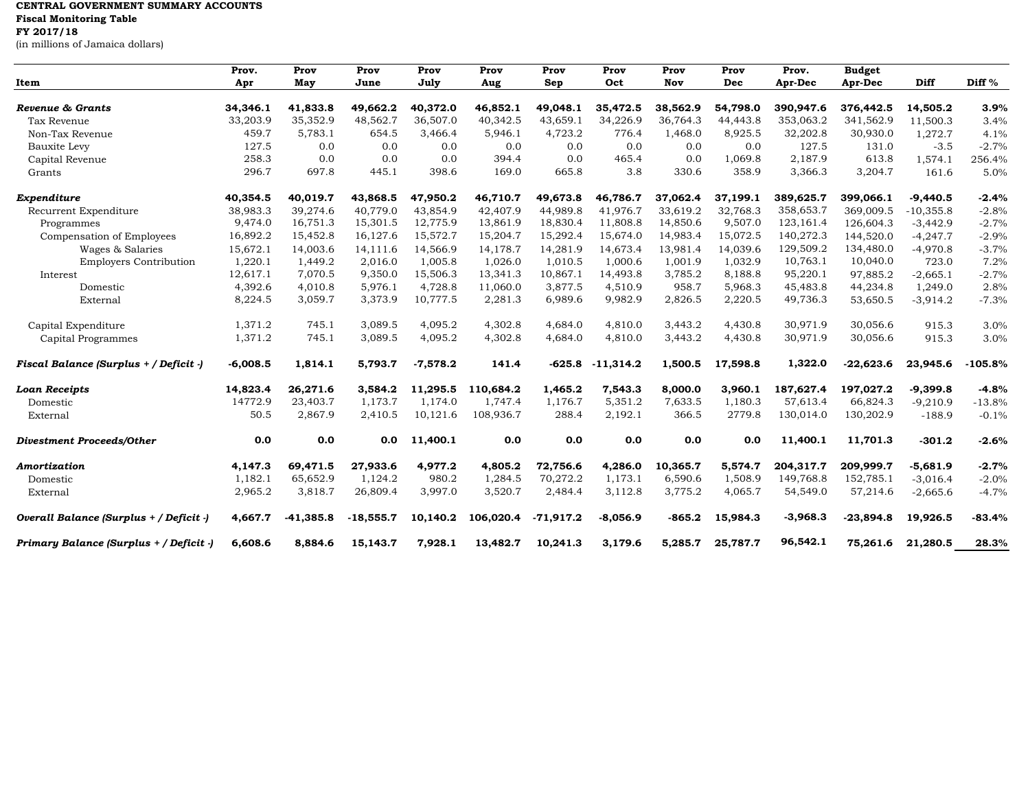## **CENTRAL GOVERNMENT SUMMARY ACCOUNTS Fiscal Monitoring Table FY 2017/18** (in millions of Jamaica dollars)

|                                         | Prov.      | Prov        | Prov        | Prov       | Prov      | Prov        | Prov        | Prov     | Prov     | Prov.      | <b>Budget</b> |             |           |
|-----------------------------------------|------------|-------------|-------------|------------|-----------|-------------|-------------|----------|----------|------------|---------------|-------------|-----------|
| Item                                    | Apr        | May         | June        | July       | Aug       | Sep         | Oct         | Nov      | Dec      | Apr-Dec    | Apr-Dec       | Diff        | Diff %    |
|                                         |            |             |             |            |           |             |             |          |          |            |               |             |           |
| Revenue & Grants                        | 34,346.1   | 41,833.8    | 49,662.2    | 40,372.0   | 46,852.1  | 49,048.1    | 35,472.5    | 38,562.9 | 54,798.0 | 390.947.6  | 376,442.5     | 14,505.2    | 3.9%      |
| Tax Revenue                             | 33,203.9   | 35,352.9    | 48,562.7    | 36,507.0   | 40,342.5  | 43,659.1    | 34,226.9    | 36,764.3 | 44,443.8 | 353,063.2  | 341,562.9     | 11,500.3    | 3.4%      |
| Non-Tax Revenue                         | 459.7      | 5,783.1     | 654.5       | 3,466.4    | 5,946.1   | 4,723.2     | 776.4       | 1,468.0  | 8,925.5  | 32,202.8   | 30,930.0      | 1,272.7     | 4.1%      |
| Bauxite Levy                            | 127.5      | 0.0         | 0.0         | 0.0        | 0.0       | 0.0         | 0.0         | 0.0      | 0.0      | 127.5      | 131.0         | $-3.5$      | $-2.7%$   |
| Capital Revenue                         | 258.3      | 0.0         | 0.0         | 0.0        | 394.4     | 0.0         | 465.4       | 0.0      | 1,069.8  | 2,187.9    | 613.8         | 1,574.1     | 256.4%    |
| Grants                                  | 296.7      | 697.8       | 445.1       | 398.6      | 169.0     | 665.8       | 3.8         | 330.6    | 358.9    | 3,366.3    | 3,204.7       | 161.6       | 5.0%      |
| Expenditure                             | 40,354.5   | 40,019.7    | 43,868.5    | 47,950.2   | 46,710.7  | 49,673.8    | 46,786.7    | 37,062.4 | 37,199.1 | 389,625.7  | 399,066.1     | $-9,440.5$  | $-2.4%$   |
| Recurrent Expenditure                   | 38,983.3   | 39,274.6    | 40,779.0    | 43,854.9   | 42,407.9  | 44,989.8    | 41,976.7    | 33,619.2 | 32,768.3 | 358,653.7  | 369,009.5     | $-10,355.8$ | $-2.8%$   |
| Programmes                              | 9,474.0    | 16,751.3    | 15,301.5    | 12,775.9   | 13,861.9  | 18,830.4    | 11,808.8    | 14,850.6 | 9,507.0  | 123,161.4  | 126,604.3     | $-3,442.9$  | $-2.7%$   |
| Compensation of Employees               | 16,892.2   | 15,452.8    | 16,127.6    | 15,572.7   | 15,204.7  | 15,292.4    | 15,674.0    | 14,983.4 | 15,072.5 | 140,272.3  | 144,520.0     | $-4,247.7$  | $-2.9%$   |
| Wages & Salaries                        | 15,672.1   | 14,003.6    | 14,111.6    | 14,566.9   | 14,178.7  | 14,281.9    | 14,673.4    | 13,981.4 | 14,039.6 | 129,509.2  | 134,480.0     | $-4,970.8$  | $-3.7%$   |
| <b>Employers Contribution</b>           | 1,220.1    | 1,449.2     | 2,016.0     | 1,005.8    | 1,026.0   | 1,010.5     | 1,000.6     | 1,001.9  | 1,032.9  | 10,763.1   | 10,040.0      | 723.0       | 7.2%      |
| Interest                                | 12,617.1   | 7,070.5     | 9,350.0     | 15,506.3   | 13,341.3  | 10,867.1    | 14,493.8    | 3,785.2  | 8,188.8  | 95,220.1   | 97,885.2      | $-2,665.1$  | $-2.7%$   |
| Domestic                                | 4,392.6    | 4,010.8     | 5,976.1     | 4,728.8    | 11,060.0  | 3,877.5     | 4,510.9     | 958.7    | 5,968.3  | 45,483.8   | 44,234.8      | 1,249.0     | 2.8%      |
| External                                | 8,224.5    | 3,059.7     | 3,373.9     | 10,777.5   | 2,281.3   | 6,989.6     | 9,982.9     | 2,826.5  | 2,220.5  | 49,736.3   | 53,650.5      | $-3,914.2$  | $-7.3%$   |
| Capital Expenditure                     | 1,371.2    | 745.1       | 3,089.5     | 4,095.2    | 4,302.8   | 4,684.0     | 4,810.0     | 3,443.2  | 4,430.8  | 30,971.9   | 30,056.6      | 915.3       | 3.0%      |
| Capital Programmes                      | 1,371.2    | 745.1       | 3,089.5     | 4,095.2    | 4,302.8   | 4,684.0     | 4,810.0     | 3,443.2  | 4,430.8  | 30,971.9   | 30,056.6      | 915.3       | 3.0%      |
| Fiscal Balance (Surplus + / Deficit -)  | $-6,008.5$ | 1,814.1     | 5,793.7     | $-7,578.2$ | 141.4     | $-625.8$    | $-11,314.2$ | 1,500.5  | 17,598.8 | 1,322.0    | $-22,623.6$   | 23,945.6    | $-105.8%$ |
| <b>Loan Receipts</b>                    | 14,823.4   | 26,271.6    | 3,584.2     | 11,295.5   | 110,684.2 | 1,465.2     | 7,543.3     | 8,000.0  | 3,960.1  | 187,627.4  | 197,027.2     | $-9,399.8$  | $-4.8%$   |
| Domestic                                | 14772.9    | 23,403.7    | 1,173.7     | 1,174.0    | 1,747.4   | 1,176.7     | 5,351.2     | 7,633.5  | 1,180.3  | 57,613.4   | 66,824.3      | $-9,210.9$  | $-13.8%$  |
| External                                | 50.5       | 2,867.9     | 2,410.5     | 10,121.6   | 108,936.7 | 288.4       | 2,192.1     | 366.5    | 2779.8   | 130,014.0  | 130,202.9     | $-188.9$    | $-0.1%$   |
| <b>Divestment Proceeds/Other</b>        | 0.0        | 0.0         | 0.0         | 11,400.1   | 0.0       | 0.0         | 0.0         | 0.0      | 0.0      | 11,400.1   | 11,701.3      | $-301.2$    | $-2.6%$   |
| Amortization                            | 4,147.3    | 69,471.5    | 27,933.6    | 4,977.2    | 4,805.2   | 72,756.6    | 4,286.0     | 10,365.7 | 5,574.7  | 204,317.7  | 209,999.7     | $-5,681.9$  | $-2.7%$   |
| Domestic                                | 1,182.1    | 65,652.9    | 1,124.2     | 980.2      | 1,284.5   | 70,272.2    | 1,173.1     | 6,590.6  | 1,508.9  | 149,768.8  | 152,785.1     | $-3,016.4$  | $-2.0%$   |
| External                                | 2,965.2    | 3,818.7     | 26,809.4    | 3,997.0    | 3,520.7   | 2,484.4     | 3,112.8     | 3,775.2  | 4,065.7  | 54,549.0   | 57,214.6      | $-2,665.6$  | $-4.7%$   |
| Overall Balance (Surplus + / Deficit -) | 4,667.7    | $-41,385.8$ | $-18,555.7$ | 10,140.2   | 106,020.4 | $-71,917.2$ | $-8,056.9$  | $-865.2$ | 15,984.3 | $-3,968.3$ | $-23,894.8$   | 19,926.5    | $-83.4%$  |
| Primary Balance (Surplus + / Deficit -) | 6,608.6    | 8,884.6     | 15,143.7    | 7,928.1    | 13,482.7  | 10,241.3    | 3,179.6     | 5,285.7  | 25,787.7 | 96,542.1   | 75,261.6      | 21,280.5    | 28.3%     |